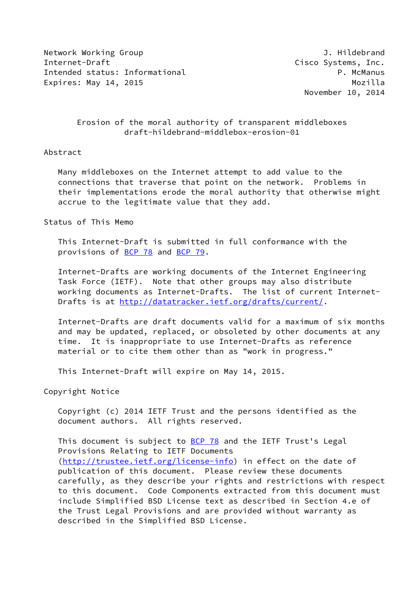Network Working Group **J. Hildebrand** Internet-Draft **Cisco Systems**, Inc. Intended status: Informational example and the property of the P. McManus Expires: May 14, 2015 and the expires: Mozilla

November 10, 2014

## Erosion of the moral authority of transparent middleboxes draft-hildebrand-middlebox-erosion-01

## Abstract

 Many middleboxes on the Internet attempt to add value to the connections that traverse that point on the network. Problems in their implementations erode the moral authority that otherwise might accrue to the legitimate value that they add.

## Status of This Memo

 This Internet-Draft is submitted in full conformance with the provisions of [BCP 78](https://datatracker.ietf.org/doc/pdf/bcp78) and [BCP 79](https://datatracker.ietf.org/doc/pdf/bcp79).

 Internet-Drafts are working documents of the Internet Engineering Task Force (IETF). Note that other groups may also distribute working documents as Internet-Drafts. The list of current Internet- Drafts is at<http://datatracker.ietf.org/drafts/current/>.

 Internet-Drafts are draft documents valid for a maximum of six months and may be updated, replaced, or obsoleted by other documents at any time. It is inappropriate to use Internet-Drafts as reference material or to cite them other than as "work in progress."

This Internet-Draft will expire on May 14, 2015.

Copyright Notice

 Copyright (c) 2014 IETF Trust and the persons identified as the document authors. All rights reserved.

This document is subject to **[BCP 78](https://datatracker.ietf.org/doc/pdf/bcp78)** and the IETF Trust's Legal Provisions Relating to IETF Documents [\(http://trustee.ietf.org/license-info](http://trustee.ietf.org/license-info)) in effect on the date of publication of this document. Please review these documents carefully, as they describe your rights and restrictions with respect to this document. Code Components extracted from this document must include Simplified BSD License text as described in Section 4.e of the Trust Legal Provisions and are provided without warranty as described in the Simplified BSD License.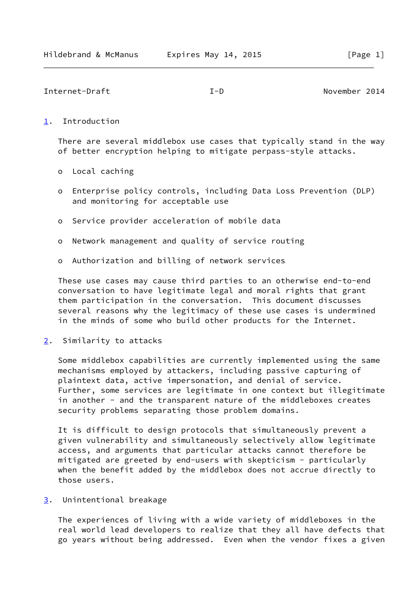Internet-Draft I-D November 2014

## <span id="page-1-0"></span>[1](#page-1-0). Introduction

 There are several middlebox use cases that typically stand in the way of better encryption helping to mitigate perpass-style attacks.

- o Local caching
- o Enterprise policy controls, including Data Loss Prevention (DLP) and monitoring for acceptable use
- o Service provider acceleration of mobile data
- o Network management and quality of service routing
- o Authorization and billing of network services

 These use cases may cause third parties to an otherwise end-to-end conversation to have legitimate legal and moral rights that grant them participation in the conversation. This document discusses several reasons why the legitimacy of these use cases is undermined in the minds of some who build other products for the Internet.

<span id="page-1-1"></span>[2](#page-1-1). Similarity to attacks

 Some middlebox capabilities are currently implemented using the same mechanisms employed by attackers, including passive capturing of plaintext data, active impersonation, and denial of service. Further, some services are legitimate in one context but illegitimate in another - and the transparent nature of the middleboxes creates security problems separating those problem domains.

 It is difficult to design protocols that simultaneously prevent a given vulnerability and simultaneously selectively allow legitimate access, and arguments that particular attacks cannot therefore be mitigated are greeted by end-users with skepticism - particularly when the benefit added by the middlebox does not accrue directly to those users.

<span id="page-1-2"></span>[3](#page-1-2). Unintentional breakage

 The experiences of living with a wide variety of middleboxes in the real world lead developers to realize that they all have defects that go years without being addressed. Even when the vendor fixes a given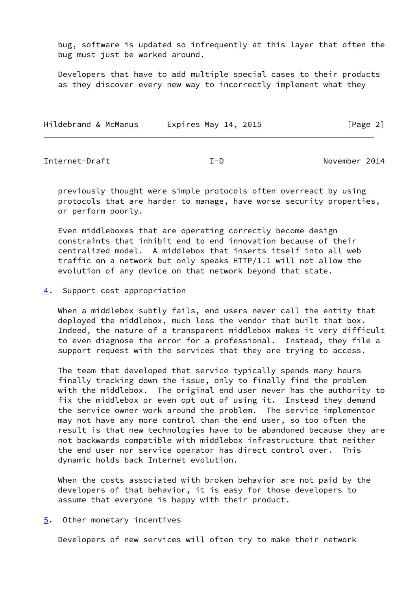bug, software is updated so infrequently at this layer that often the bug must just be worked around.

 Developers that have to add multiple special cases to their products as they discover every new way to incorrectly implement what they

| Hildebrand & McManus | Expires May 14, 2015 | [Page 2] |
|----------------------|----------------------|----------|
|----------------------|----------------------|----------|

Internet-Draft I-D November 2014

 previously thought were simple protocols often overreact by using protocols that are harder to manage, have worse security properties, or perform poorly.

 Even middleboxes that are operating correctly become design constraints that inhibit end to end innovation because of their centralized model. A middlebox that inserts itself into all web traffic on a network but only speaks HTTP/1.1 will not allow the evolution of any device on that network beyond that state.

<span id="page-2-0"></span>[4](#page-2-0). Support cost appropriation

 When a middlebox subtly fails, end users never call the entity that deployed the middlebox, much less the vendor that built that box. Indeed, the nature of a transparent middlebox makes it very difficult to even diagnose the error for a professional. Instead, they file a support request with the services that they are trying to access.

 The team that developed that service typically spends many hours finally tracking down the issue, only to finally find the problem with the middlebox. The original end user never has the authority to fix the middlebox or even opt out of using it. Instead they demand the service owner work around the problem. The service implementor may not have any more control than the end user, so too often the result is that new technologies have to be abandoned because they are not backwards compatible with middlebox infrastructure that neither the end user nor service operator has direct control over. This dynamic holds back Internet evolution.

 When the costs associated with broken behavior are not paid by the developers of that behavior, it is easy for those developers to assume that everyone is happy with their product.

<span id="page-2-1"></span>[5](#page-2-1). Other monetary incentives

Developers of new services will often try to make their network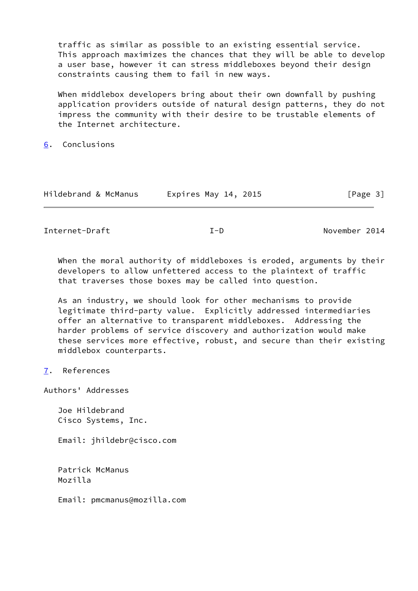traffic as similar as possible to an existing essential service. This approach maximizes the chances that they will be able to develop a user base, however it can stress middleboxes beyond their design constraints causing them to fail in new ways.

When middlebox developers bring about their own downfall by pushing application providers outside of natural design patterns, they do not impress the community with their desire to be trustable elements of the Internet architecture.

<span id="page-3-0"></span>[6](#page-3-0). Conclusions

| Hildebrand & McManus | Expires May 14, 2015 | [Page 3] |
|----------------------|----------------------|----------|
|----------------------|----------------------|----------|

Internet-Draft I-D November 2014

When the moral authority of middleboxes is eroded, arguments by their developers to allow unfettered access to the plaintext of traffic that traverses those boxes may be called into question.

 As an industry, we should look for other mechanisms to provide legitimate third-party value. Explicitly addressed intermediaries offer an alternative to transparent middleboxes. Addressing the harder problems of service discovery and authorization would make these services more effective, robust, and secure than their existing middlebox counterparts.

Authors' Addresses

 Joe Hildebrand Cisco Systems, Inc.

Email: jhildebr@cisco.com

 Patrick McManus Mozilla

Email: pmcmanus@mozilla.com

<span id="page-3-1"></span>[<sup>7</sup>](#page-3-1). References